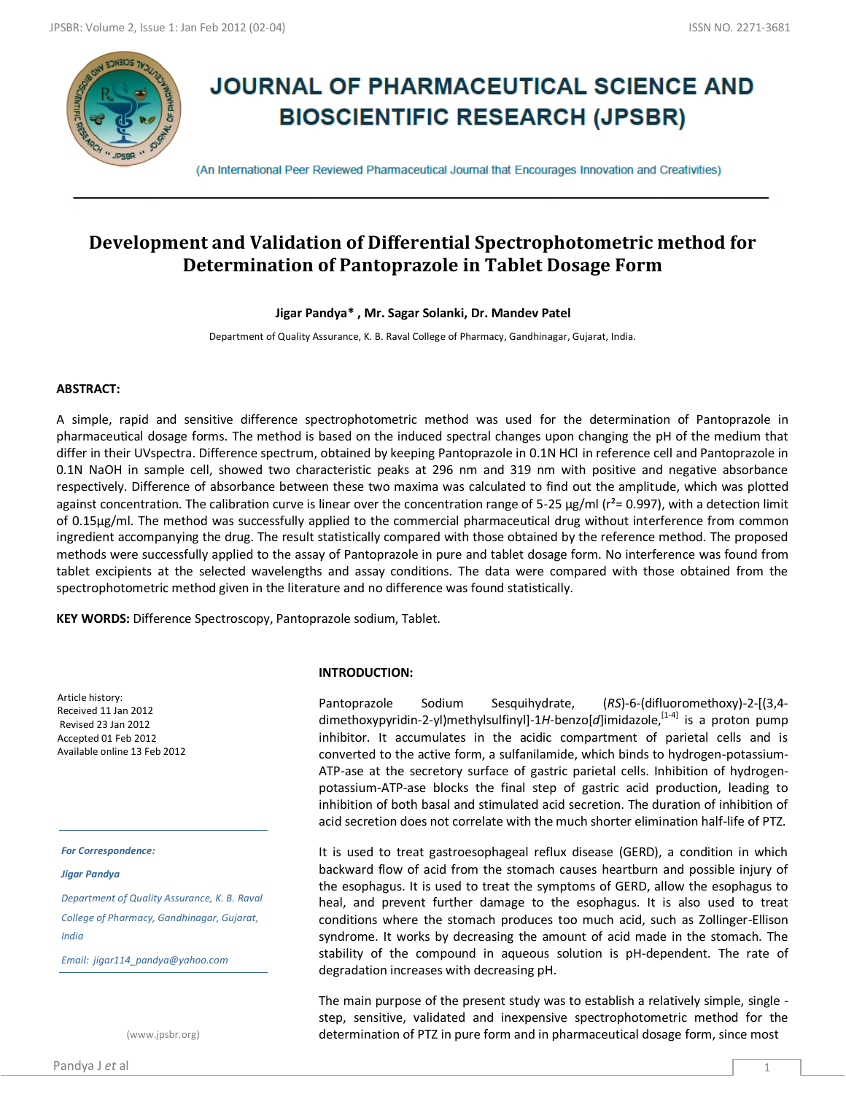

# **JOURNAL OF PHARMACEUTICAL SCIENCE AND BIOSCIENTIFIC RESEARCH (JPSBR)**

(An International Peer Reviewed Pharmaceutical Journal that Encourages Innovation and Creativities)

## **Development and Validation of Differential Spectrophotometric method for Determination of Pantoprazole in Tablet Dosage Form**

## **Jigar Pandya\* , Mr. Sagar Solanki, Dr. Mandev Patel**

Department of Quality Assurance, K. B. Raval College of Pharmacy, Gandhinagar, Gujarat, India.

## **ABSTRACT:**

A simple, rapid and sensitive difference spectrophotometric method was used for the determination of Pantoprazole in pharmaceutical dosage forms. The method is based on the induced spectral changes upon changing the pH of the medium that differ in their UVspectra. Difference spectrum, obtained by keeping Pantoprazole in 0.1N HCl in reference cell and Pantoprazole in 0.1N NaOH in sample cell, showed two characteristic peaks at 296 nm and 319 nm with positive and negative absorbance respectively. Difference of absorbance between these two maxima was calculated to find out the amplitude, which was plotted against concentration. The calibration curve is linear over the concentration range of 5-25  $\mu$ g/ml ( $r^2$ = 0.997), with a detection limit of 0.15μg/ml. The method was successfully applied to the commercial pharmaceutical drug without interference from common ingredient accompanying the drug. The result statistically compared with those obtained by the reference method. The proposed methods were successfully applied to the assay of Pantoprazole in pure and tablet dosage form. No interference was found from tablet excipients at the selected wavelengths and assay conditions. The data were compared with those obtained from the spectrophotometric method given in the literature and no difference was found statistically.

**KEY WORDS:** Difference Spectroscopy, Pantoprazole sodium, Tablet.

Article history: Received 11 Jan 2012 Revised 23 Jan 2012 Accepted 01 Feb 2012 Available online 13 Feb 2012

*For Correspondence:*

*Jigar Pandya*

*Department of Quality Assurance, K. B. Raval College of Pharmacy, Gandhinagar, Gujarat, India*

*Email: jigar114\_pandya@yahoo.com*

(www.jpsbr.org)

#### **INTRODUCTION:**

Pantoprazole Sodium Sesquihydrate, (*RS*)-6-(difluoromethoxy)-2-[(3,4 dimethoxypyridin-2-yl)methylsulfinyl]-1H-benzo[d]imidazole,<sup>[1-4]</sup> is a proton pump inhibitor. It accumulates in the acidic compartment of parietal cells and is converted to the active form, a sulfanilamide, which binds to hydrogen-potassium-ATP-ase at the secretory surface of gastric parietal cells. Inhibition of hydrogenpotassium-ATP-ase blocks the final step of gastric acid production, leading to inhibition of both basal and stimulated acid secretion. The duration of inhibition of acid secretion does not correlate with the much shorter elimination half-life of PTZ.

It is used to treat gastroesophageal reflux disease (GERD), a condition in which backward flow of acid from the stomach causes heartburn and possible injury of the esophagus. It is used to treat the symptoms of GERD, allow the esophagus to heal, and prevent further damage to the esophagus. It is also used to treat conditions where the stomach produces too much acid, such as Zollinger-Ellison syndrome. It works by decreasing the amount of acid made in the stomach. The stability of the compound in aqueous solution is pH-dependent. The rate of degradation increases with decreasing pH.

The main purpose of the present study was to establish a relatively simple, single step, sensitive, validated and inexpensive spectrophotometric method for the determination of PTZ in pure form and in pharmaceutical dosage form, since most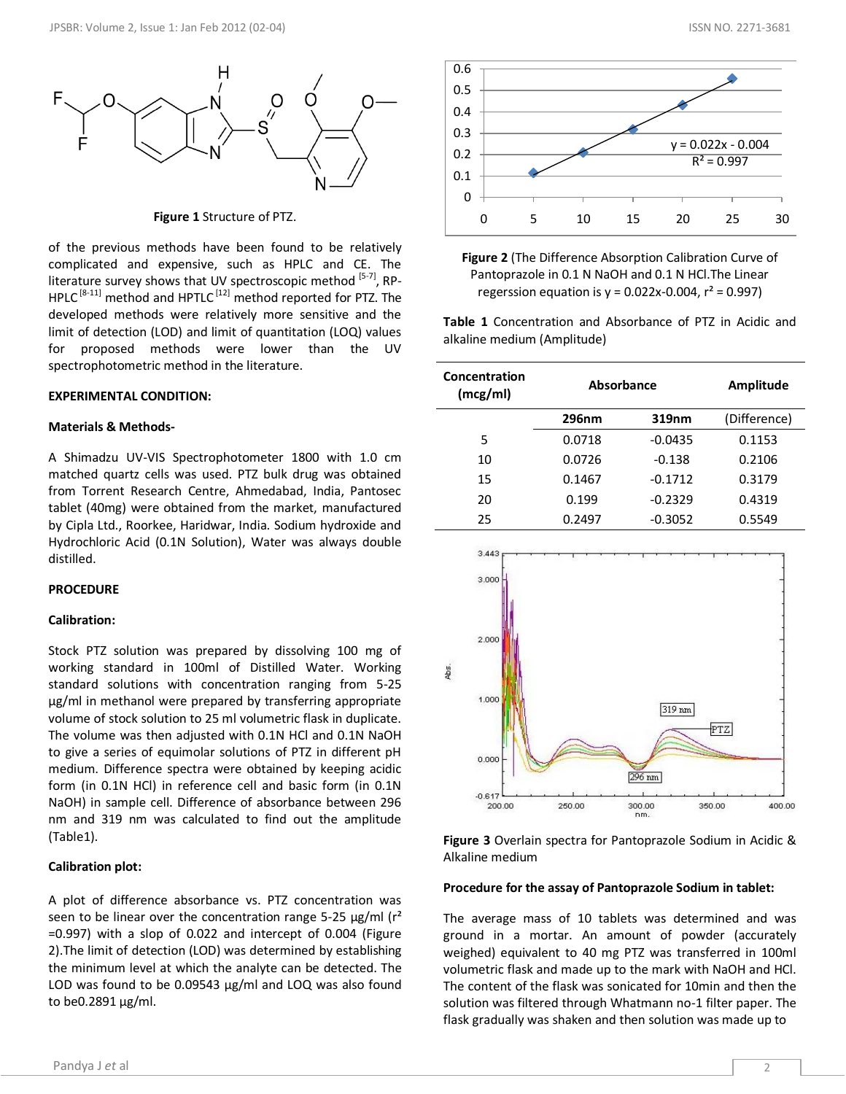

#### **Figure 1** Structure of PTZ.

of the previous methods have been found to be relatively complicated and expensive, such as HPLC and CE. The literature survey shows that UV spectroscopic method [5-7], RP- $HPLC^{[8-11]}$  method and HPTLC<sup>[12]</sup> method reported for PTZ. The developed methods were relatively more sensitive and the limit of detection (LOD) and limit of quantitation (LOQ) values for proposed methods were lower than the UV spectrophotometric method in the literature.

#### **EXPERIMENTAL CONDITION:**

#### **Materials & Methods-**

A Shimadzu UV-VIS Spectrophotometer 1800 with 1.0 cm matched quartz cells was used. PTZ bulk drug was obtained from Torrent Research Centre, Ahmedabad, India, Pantosec tablet (40mg) were obtained from the market, manufactured by Cipla Ltd., Roorkee, Haridwar, India. Sodium hydroxide and Hydrochloric Acid (0.1N Solution), Water was always double distilled.

#### **PROCEDURE**

#### **Calibration:**

Stock PTZ solution was prepared by dissolving 100 mg of working standard in 100ml of Distilled Water. Working standard solutions with concentration ranging from 5-25 μg/ml in methanol were prepared by transferring appropriate volume of stock solution to 25 ml volumetric flask in duplicate. The volume was then adjusted with 0.1N HCl and 0.1N NaOH to give a series of equimolar solutions of PTZ in different pH medium. Difference spectra were obtained by keeping acidic form (in 0.1N HCl) in reference cell and basic form (in 0.1N NaOH) in sample cell. Difference of absorbance between 296 nm and 319 nm was calculated to find out the amplitude (Table1).

#### **Calibration plot:**

A plot of difference absorbance vs. PTZ concentration was seen to be linear over the concentration range 5-25  $\mu$ g/ml (r<sup>2</sup>) =0.997) with a slop of 0.022 and intercept of 0.004 (Figure 2).The limit of detection (LOD) was determined by establishing the minimum level at which the analyte can be detected. The LOD was found to be 0.09543 μg/ml and LOQ was also found to be0.2891 μg/ml.



**Figure 2** (The Difference Absorption Calibration Curve of Pantoprazole in 0.1 N NaOH and 0.1 N HCl.The Linear regerssion equation is  $y = 0.022x-0.004$ ,  $r^2 = 0.997$ )

**Table 1** Concentration and Absorbance of PTZ in Acidic and alkaline medium (Amplitude)

| Concentration<br>(mcg/ml) | Absorbance   |           | Amplitude    |
|---------------------------|--------------|-----------|--------------|
|                           | <b>296nm</b> | 319nm     | (Difference) |
| 5                         | 0.0718       | $-0.0435$ | 0.1153       |
| 10                        | 0.0726       | $-0.138$  | 0.2106       |
| 15                        | 0.1467       | $-0.1712$ | 0.3179       |
| 20                        | 0.199        | $-0.2329$ | 0.4319       |
| 25                        | 0.2497       | $-0.3052$ | 0.5549       |



**Figure 3** Overlain spectra for Pantoprazole Sodium in Acidic & Alkaline medium

#### **Procedure for the assay of Pantoprazole Sodium in tablet:**

The average mass of 10 tablets was determined and was ground in a mortar. An amount of powder (accurately weighed) equivalent to 40 mg PTZ was transferred in 100ml volumetric flask and made up to the mark with NaOH and HCl. The content of the flask was sonicated for 10min and then the solution was filtered through Whatmann no-1 filter paper. The flask gradually was shaken and then solution was made up to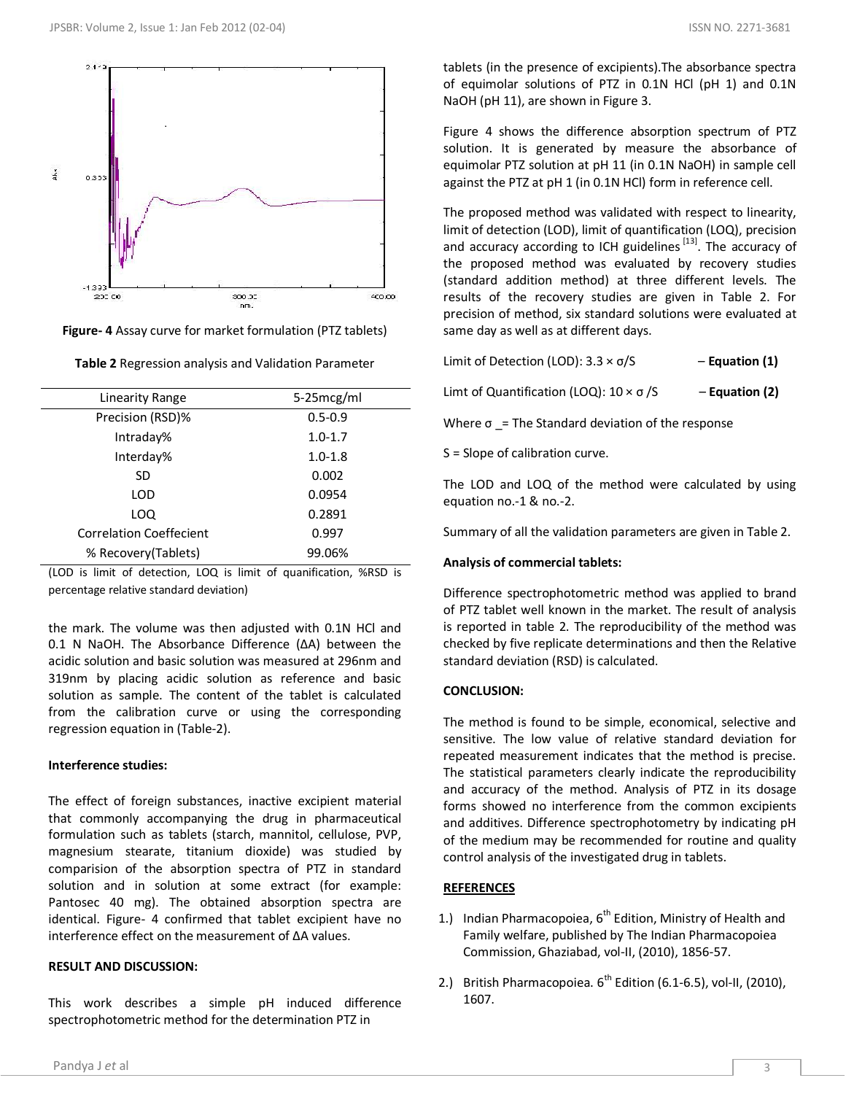



| Linearity Range                | 5-25mcg/ml  |  |
|--------------------------------|-------------|--|
| Precision (RSD)%               | $0.5 - 0.9$ |  |
| Intraday%                      | $1.0 - 1.7$ |  |
| Interday%                      | $1.0 - 1.8$ |  |
| <b>SD</b>                      | 0.002       |  |
| LOD                            | 0.0954      |  |
| LOQ                            | 0.2891      |  |
| <b>Correlation Coeffecient</b> | 0.997       |  |
| % Recovery (Tablets)           | 99.06%      |  |

**Table 2** Regression analysis and Validation Parameter

(LOD is limit of detection, LOQ is limit of quanification, %RSD is percentage relative standard deviation)

the mark. The volume was then adjusted with 0.1N HCl and 0.1 N NaOH. The Absorbance Difference (ΔA) between the acidic solution and basic solution was measured at 296nm and 319nm by placing acidic solution as reference and basic solution as sample. The content of the tablet is calculated from the calibration curve or using the corresponding regression equation in (Table-2).

## **Interference studies:**

The effect of foreign substances, inactive excipient material that commonly accompanying the drug in pharmaceutical formulation such as tablets (starch, mannitol, cellulose, PVP, magnesium stearate, titanium dioxide) was studied by comparision of the absorption spectra of PTZ in standard solution and in solution at some extract (for example: Pantosec 40 mg). The obtained absorption spectra are identical. Figure- 4 confirmed that tablet excipient have no interference effect on the measurement of ΔA values.

## **RESULT AND DISCUSSION:**

This work describes a simple pH induced difference spectrophotometric method for the determination PTZ in

tablets (in the presence of excipients).The absorbance spectra of equimolar solutions of PTZ in 0.1N HCl (pH 1) and 0.1N NaOH (pH 11), are shown in Figure 3.

Figure 4 shows the difference absorption spectrum of PTZ solution. It is generated by measure the absorbance of equimolar PTZ solution at pH 11 (in 0.1N NaOH) in sample cell against the PTZ at pH 1 (in 0.1N HCl) form in reference cell.

The proposed method was validated with respect to linearity, limit of detection (LOD), limit of quantification (LOQ), precision and accuracy according to ICH guidelines<sup>[13]</sup>. The accuracy of the proposed method was evaluated by recovery studies (standard addition method) at three different levels. The results of the recovery studies are given in Table 2. For precision of method, six standard solutions were evaluated at same day as well as at different days.

| Limit of Detection (LOD): $3.3 \times \sigma/S$         | $-$ Equation (1) |
|---------------------------------------------------------|------------------|
| Limt of Quantification (LOQ): $10 \times \sigma$ /S     | $-$ Equation (2) |
| Where $\sigma$ = The Standard deviation of the response |                  |

S = Slope of calibration curve.

The LOD and LOQ of the method were calculated by using equation no.-1 & no.-2.

Summary of all the validation parameters are given in Table 2.

## **Analysis of commercial tablets:**

Difference spectrophotometric method was applied to brand of PTZ tablet well known in the market. The result of analysis is reported in table 2. The reproducibility of the method was checked by five replicate determinations and then the Relative standard deviation (RSD) is calculated.

## **CONCLUSION:**

The method is found to be simple, economical, selective and sensitive. The low value of relative standard deviation for repeated measurement indicates that the method is precise. The statistical parameters clearly indicate the reproducibility and accuracy of the method. Analysis of PTZ in its dosage forms showed no interference from the common excipients and additives. Difference spectrophotometry by indicating pH of the medium may be recommended for routine and quality control analysis of the investigated drug in tablets.

## **REFERENCES**

- 1.) Indian Pharmacopoiea,  $6^{th}$  Edition, Ministry of Health and Family welfare, published by The Indian Pharmacopoiea Commission, Ghaziabad, vol-II, (2010), 1856-57.
- 2.) British Pharmacopoiea.  $6^{th}$  Edition (6.1-6.5), vol-II, (2010), 1607.